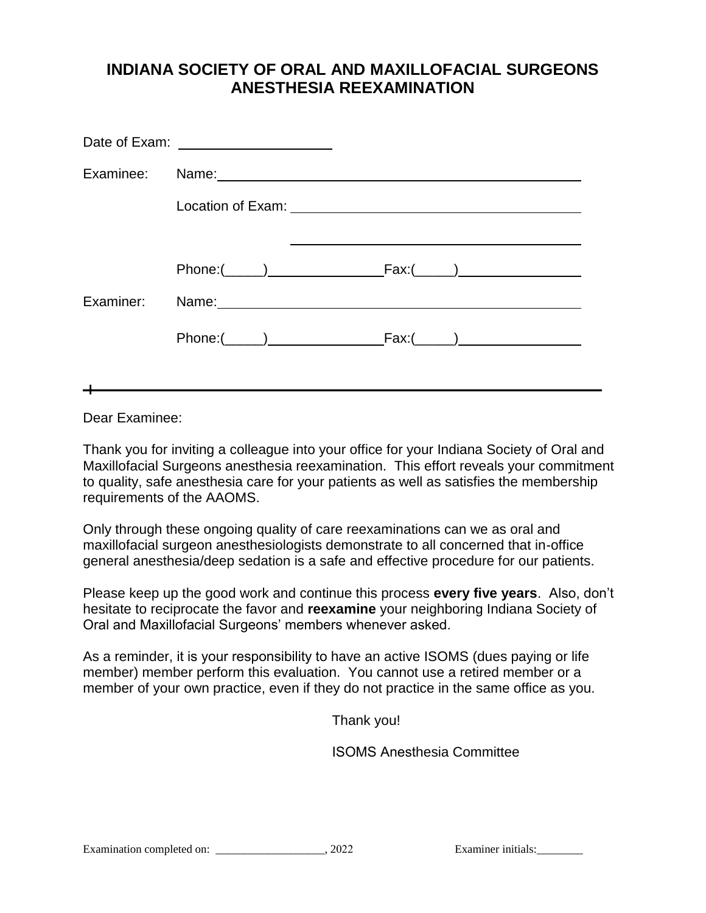# **INDIANA SOCIETY OF ORAL AND MAXILLOFACIAL SURGEONS ANESTHESIA REEXAMINATION**

| Date of Exam: _____________________                                                                                                                                                                                            |  |
|--------------------------------------------------------------------------------------------------------------------------------------------------------------------------------------------------------------------------------|--|
| Examinee: Name: Mame: Name: Name: Name: Name: Name: Name: Name: Name: Name: Name: Name: Name: Name: Name: Name: Name: Name: Name: Name: Name: Name: Name: Name: Name: Name: Name: Name: Name: Name: Name: Name: Name: Name: Na |  |
|                                                                                                                                                                                                                                |  |
|                                                                                                                                                                                                                                |  |
| $Phone: ($ ((iii) Fax:( $)$ Fax:( $)$                                                                                                                                                                                          |  |
| Examiner: Name: 1997 Name: 1997 Name: 1997 Name: 1997 Name: 1997 Name: 1997 Name: 1997 Name: 1997 Name: 1997 N                                                                                                                 |  |
|                                                                                                                                                                                                                                |  |
|                                                                                                                                                                                                                                |  |

Dear Examinee:

Thank you for inviting a colleague into your office for your Indiana Society of Oral and Maxillofacial Surgeons anesthesia reexamination. This effort reveals your commitment to quality, safe anesthesia care for your patients as well as satisfies the membership requirements of the AAOMS.

Only through these ongoing quality of care reexaminations can we as oral and maxillofacial surgeon anesthesiologists demonstrate to all concerned that in-office general anesthesia/deep sedation is a safe and effective procedure for our patients.

Please keep up the good work and continue this process **every five years**. Also, don't hesitate to reciprocate the favor and **reexamine** your neighboring Indiana Society of Oral and Maxillofacial Surgeons' members whenever asked.

As a reminder, it is your responsibility to have an active ISOMS (dues paying or life member) member perform this evaluation. You cannot use a retired member or a member of your own practice, even if they do not practice in the same office as you.

Thank you!

ISOMS Anesthesia Committee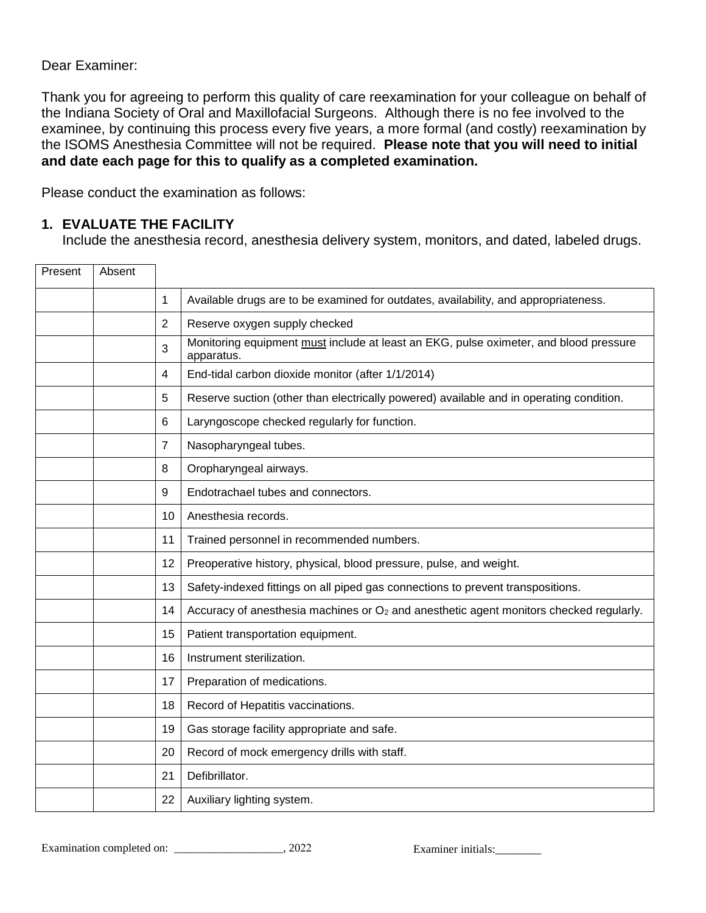### Dear Examiner:

Thank you for agreeing to perform this quality of care reexamination for your colleague on behalf of the Indiana Society of Oral and Maxillofacial Surgeons. Although there is no fee involved to the examinee, by continuing this process every five years, a more formal (and costly) reexamination by the ISOMS Anesthesia Committee will not be required. **Please note that you will need to initial and date each page for this to qualify as a completed examination.** 

Please conduct the examination as follows:

### **1. EVALUATE THE FACILITY**

Include the anesthesia record, anesthesia delivery system, monitors, and dated, labeled drugs.

| Present | Absent |                |                                                                                                     |
|---------|--------|----------------|-----------------------------------------------------------------------------------------------------|
|         |        | 1              | Available drugs are to be examined for outdates, availability, and appropriateness.                 |
|         |        | $\overline{2}$ | Reserve oxygen supply checked                                                                       |
|         |        | 3              | Monitoring equipment must include at least an EKG, pulse oximeter, and blood pressure<br>apparatus. |
|         |        | $\overline{4}$ | End-tidal carbon dioxide monitor (after 1/1/2014)                                                   |
|         |        | 5              | Reserve suction (other than electrically powered) available and in operating condition.             |
|         |        | 6              | Laryngoscope checked regularly for function.                                                        |
|         |        | $\overline{7}$ | Nasopharyngeal tubes.                                                                               |
|         |        | 8              | Oropharyngeal airways.                                                                              |
|         |        | 9              | Endotrachael tubes and connectors.                                                                  |
|         |        | 10             | Anesthesia records.                                                                                 |
|         |        | 11             | Trained personnel in recommended numbers.                                                           |
|         |        | 12             | Preoperative history, physical, blood pressure, pulse, and weight.                                  |
|         |        | 13             | Safety-indexed fittings on all piped gas connections to prevent transpositions.                     |
|         |        | 14             | Accuracy of anesthesia machines or $O_2$ and anesthetic agent monitors checked regularly.           |
|         |        | 15             | Patient transportation equipment.                                                                   |
|         |        | 16             | Instrument sterilization.                                                                           |
|         |        | 17             | Preparation of medications.                                                                         |
|         |        | 18             | Record of Hepatitis vaccinations.                                                                   |
|         |        | 19             | Gas storage facility appropriate and safe.                                                          |
|         |        | 20             | Record of mock emergency drills with staff.                                                         |
|         |        | 21             | Defibrillator.                                                                                      |
|         |        | 22             | Auxiliary lighting system.                                                                          |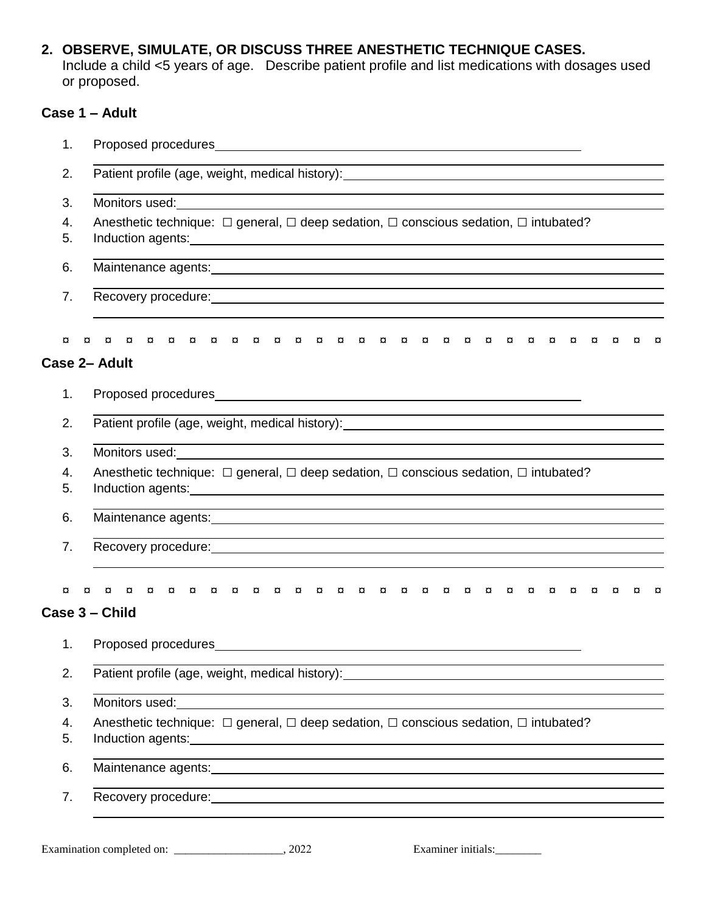**2. OBSERVE, SIMULATE, OR DISCUSS THREE ANESTHETIC TECHNIQUE CASES.**

Include a child <5 years of age. Describe patient profile and list medications with dosages used or proposed.

# **Case 1 – Adult**

| 1.       |                                                                                                                                                                                                                                                                                                                                                  |  |  |  |  |  |  |
|----------|--------------------------------------------------------------------------------------------------------------------------------------------------------------------------------------------------------------------------------------------------------------------------------------------------------------------------------------------------|--|--|--|--|--|--|
| 2.       | Patient profile (age, weight, medical history): Notified and the set of the set of the set of the set of the set of the set of the set of the set of the set of the set of the set of the set of the set of the set of the set                                                                                                                   |  |  |  |  |  |  |
| 3.       | <u> 1989 - Jan Salaman Salaman (j. 1989)</u>                                                                                                                                                                                                                                                                                                     |  |  |  |  |  |  |
| 4.<br>5. | Anesthetic technique: $\Box$ general, $\Box$ deep sedation, $\Box$ conscious sedation, $\Box$ intubated?                                                                                                                                                                                                                                         |  |  |  |  |  |  |
| 6.       | ,我们也不会有什么。""我们的人,我们也不会有什么?""我们的人,我们也不会有什么?""我们的人,我们也不会有什么?""我们的人,我们也不会有什么?""我们的人                                                                                                                                                                                                                                                                 |  |  |  |  |  |  |
| 7.       |                                                                                                                                                                                                                                                                                                                                                  |  |  |  |  |  |  |
| ¤        | $\alpha$<br>¤<br>¤<br>$\alpha$<br>o<br>¤<br>Case 2- Adult                                                                                                                                                                                                                                                                                        |  |  |  |  |  |  |
| 1.       |                                                                                                                                                                                                                                                                                                                                                  |  |  |  |  |  |  |
| 2.       |                                                                                                                                                                                                                                                                                                                                                  |  |  |  |  |  |  |
| 3.       |                                                                                                                                                                                                                                                                                                                                                  |  |  |  |  |  |  |
| 4.<br>5. | Anesthetic technique: $\Box$ general, $\Box$ deep sedation, $\Box$ conscious sedation, $\Box$ intubated?<br>Induction agents: <u>contract and contract and contract and contract and contract and contract and contract and contract and contract and contract and contract and contract and contract and contract and contract and contract</u> |  |  |  |  |  |  |
| 6.       | ,我们也不会有什么。""我们的人,我们也不会有什么?""我们的人,我们也不会有什么?""我们的人,我们也不会有什么?""我们的人,我们也不会有什么?""我们的人<br>Maintenance agents: Maintenance agents: Maintenance agents: Maintenance agents: Maintenance agents: Maintenance agents: Maintenance agents: Maintenance agents: Maintenance agents: Maintenance agents: Maintenance agents: Ma                               |  |  |  |  |  |  |
| 7.       |                                                                                                                                                                                                                                                                                                                                                  |  |  |  |  |  |  |
| ¤        | <b>E</b> E E E<br><b>ERE</b><br>¤¤¤¤<br>$\alpha$<br>¤ ¤ ¤<br>$\alpha$<br>¤ ¤ ¤<br>¤ ¤<br>¤<br>¤<br>¤<br>$\alpha$<br>o<br>¤<br>¤<br>Case 3 - Child                                                                                                                                                                                                |  |  |  |  |  |  |
| 1.       | Proposed procedures                                                                                                                                                                                                                                                                                                                              |  |  |  |  |  |  |
| 2.       | Patient profile (age, weight, medical history): _________________________________                                                                                                                                                                                                                                                                |  |  |  |  |  |  |
| 3.       | <u> 1989 - Andrea Barbara, Amerikaansk politiker (d. 1989)</u>                                                                                                                                                                                                                                                                                   |  |  |  |  |  |  |
| 4.<br>5. | Anesthetic technique: $\Box$ general, $\Box$ deep sedation, $\Box$ conscious sedation, $\Box$ intubated?                                                                                                                                                                                                                                         |  |  |  |  |  |  |
| 6.       |                                                                                                                                                                                                                                                                                                                                                  |  |  |  |  |  |  |
| 7.       | Recovery procedure: example and a series of the series of the series of the series of the series of the series                                                                                                                                                                                                                                   |  |  |  |  |  |  |
|          |                                                                                                                                                                                                                                                                                                                                                  |  |  |  |  |  |  |

Examination completed on: \_\_\_\_\_\_\_\_\_\_\_\_\_\_\_\_\_\_\_\_, 2022 Examiner initials: \_\_\_\_\_\_\_\_\_